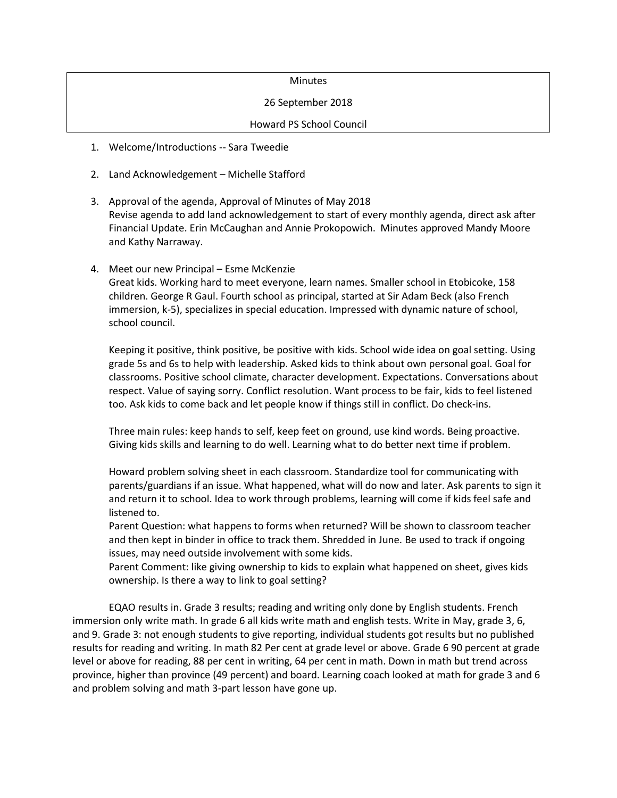### **Minutes**

#### 26 September 2018

### Howard PS School Council

- 1. Welcome/Introductions -- Sara Tweedie
- 2. Land Acknowledgement Michelle Stafford
- 3. Approval of the agenda, Approval of Minutes of May 2018 Revise agenda to add land acknowledgement to start of every monthly agenda, direct ask after Financial Update. Erin McCaughan and Annie Prokopowich. Minutes approved Mandy Moore and Kathy Narraway.
- 4. Meet our new Principal Esme McKenzie Great kids. Working hard to meet everyone, learn names. Smaller school in Etobicoke, 158 children. George R Gaul. Fourth school as principal, started at Sir Adam Beck (also French immersion, k-5), specializes in special education. Impressed with dynamic nature of school, school council.

Keeping it positive, think positive, be positive with kids. School wide idea on goal setting. Using grade 5s and 6s to help with leadership. Asked kids to think about own personal goal. Goal for classrooms. Positive school climate, character development. Expectations. Conversations about respect. Value of saying sorry. Conflict resolution. Want process to be fair, kids to feel listened too. Ask kids to come back and let people know if things still in conflict. Do check-ins.

Three main rules: keep hands to self, keep feet on ground, use kind words. Being proactive. Giving kids skills and learning to do well. Learning what to do better next time if problem.

Howard problem solving sheet in each classroom. Standardize tool for communicating with parents/guardians if an issue. What happened, what will do now and later. Ask parents to sign it and return it to school. Idea to work through problems, learning will come if kids feel safe and listened to.

Parent Question: what happens to forms when returned? Will be shown to classroom teacher and then kept in binder in office to track them. Shredded in June. Be used to track if ongoing issues, may need outside involvement with some kids.

Parent Comment: like giving ownership to kids to explain what happened on sheet, gives kids ownership. Is there a way to link to goal setting?

EQAO results in. Grade 3 results; reading and writing only done by English students. French immersion only write math. In grade 6 all kids write math and english tests. Write in May, grade 3, 6, and 9. Grade 3: not enough students to give reporting, individual students got results but no published results for reading and writing. In math 82 Per cent at grade level or above. Grade 6 90 percent at grade level or above for reading, 88 per cent in writing, 64 per cent in math. Down in math but trend across province, higher than province (49 percent) and board. Learning coach looked at math for grade 3 and 6 and problem solving and math 3-part lesson have gone up.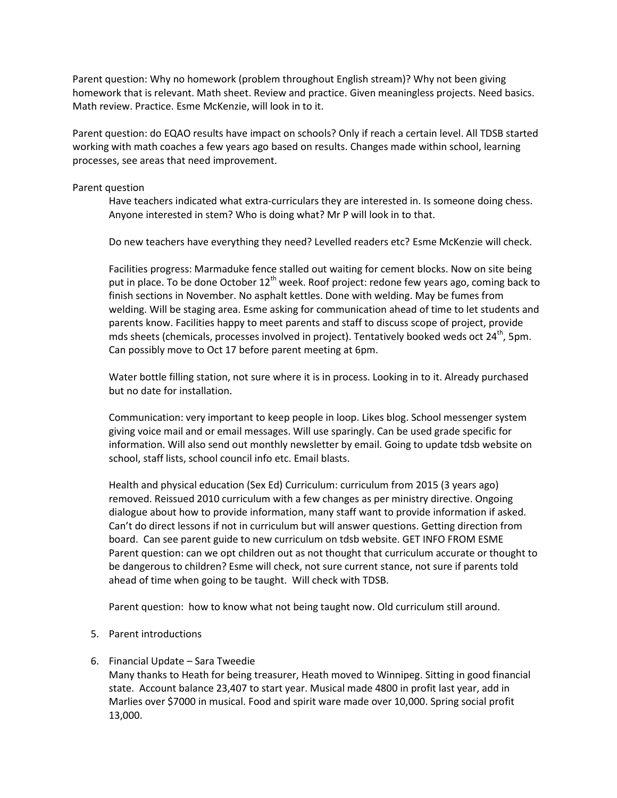Parent question: Why no homework (problem throughout English stream)? Why not been giving homework that is relevant. Math sheet. Review and practice. Given meaningless projects. Need basics. Math review. Practice. Esme McKenzie, will look in to it.

Parent question: do EQAO results have impact on schools? Only if reach a certain level. All TDSB started working with math coaches a few years ago based on results. Changes made within school, learning processes, see areas that need improvement.

## Parent question

Have teachers indicated what extra-curriculars they are interested in. Is someone doing chess. Anyone interested in stem? Who is doing what? Mr P will look in to that.

Do new teachers have everything they need? Levelled readers etc? Esme McKenzie will check.

Facilities progress: Marmaduke fence stalled out waiting for cement blocks. Now on site being put in place. To be done October  $12^{th}$  week. Roof project: redone few years ago, coming back to finish sections in November. No asphalt kettles. Done with welding. May be fumes from welding. Will be staging area. Esme asking for communication ahead of time to let students and parents know. Facilities happy to meet parents and staff to discuss scope of project, provide mds sheets (chemicals, processes involved in project). Tentatively booked weds oct 24<sup>th</sup>, 5pm. Can possibly move to Oct 17 before parent meeting at 6pm.

Water bottle filling station, not sure where it is in process. Looking in to it. Already purchased but no date for installation.

Communication: very important to keep people in loop. Likes blog. School messenger system giving voice mail and or email messages. Will use sparingly. Can be used grade specific for information. Will also send out monthly newsletter by email. Going to update tdsb website on school, staff lists, school council info etc. Email blasts.

Health and physical education (Sex Ed) Curriculum: curriculum from 2015 (3 years ago) removed. Reissued 2010 curriculum with a few changes as per ministry directive. Ongoing dialogue about how to provide information, many staff want to provide information if asked. Can't do direct lessons if not in curriculum but will answer questions. Getting direction from board. Can see parent guide to new curriculum on tdsb website. GET INFO FROM ESME Parent question: can we opt children out as not thought that curriculum accurate or thought to be dangerous to children? Esme will check, not sure current stance, not sure if parents told ahead of time when going to be taught. Will check with TDSB.

Parent question: how to know what not being taught now. Old curriculum still around.

- 5. Parent introductions
- 6. Financial Update Sara Tweedie

Many thanks to Heath for being treasurer, Heath moved to Winnipeg. Sitting in good financial state. Account balance 23,407 to start year. Musical made 4800 in profit last year, add in Marlies over \$7000 in musical. Food and spirit ware made over 10,000. Spring social profit 13,000.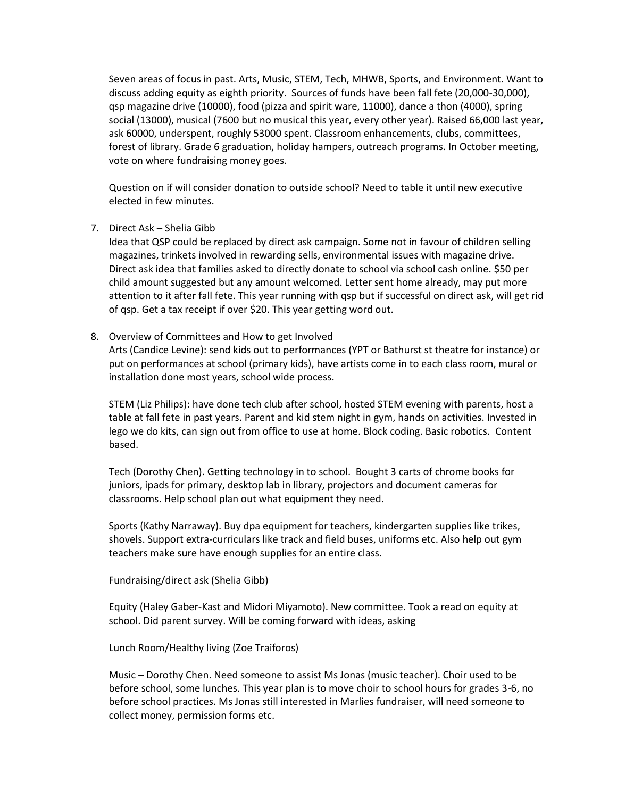Seven areas of focus in past. Arts, Music, STEM, Tech, MHWB, Sports, and Environment. Want to discuss adding equity as eighth priority. Sources of funds have been fall fete (20,000-30,000), qsp magazine drive (10000), food (pizza and spirit ware, 11000), dance a thon (4000), spring social (13000), musical (7600 but no musical this year, every other year). Raised 66,000 last year, ask 60000, underspent, roughly 53000 spent. Classroom enhancements, clubs, committees, forest of library. Grade 6 graduation, holiday hampers, outreach programs. In October meeting, vote on where fundraising money goes.

Question on if will consider donation to outside school? Need to table it until new executive elected in few minutes.

# 7. Direct Ask – Shelia Gibb

Idea that QSP could be replaced by direct ask campaign. Some not in favour of children selling magazines, trinkets involved in rewarding sells, environmental issues with magazine drive. Direct ask idea that families asked to directly donate to school via school cash online. \$50 per child amount suggested but any amount welcomed. Letter sent home already, may put more attention to it after fall fete. This year running with qsp but if successful on direct ask, will get rid of qsp. Get a tax receipt if over \$20. This year getting word out.

# 8. Overview of Committees and How to get Involved

Arts (Candice Levine): send kids out to performances (YPT or Bathurst st theatre for instance) or put on performances at school (primary kids), have artists come in to each class room, mural or installation done most years, school wide process.

STEM (Liz Philips): have done tech club after school, hosted STEM evening with parents, host a table at fall fete in past years. Parent and kid stem night in gym, hands on activities. Invested in lego we do kits, can sign out from office to use at home. Block coding. Basic robotics. Content based.

Tech (Dorothy Chen). Getting technology in to school. Bought 3 carts of chrome books for juniors, ipads for primary, desktop lab in library, projectors and document cameras for classrooms. Help school plan out what equipment they need.

Sports (Kathy Narraway). Buy dpa equipment for teachers, kindergarten supplies like trikes, shovels. Support extra-curriculars like track and field buses, uniforms etc. Also help out gym teachers make sure have enough supplies for an entire class.

Fundraising/direct ask (Shelia Gibb)

Equity (Haley Gaber-Kast and Midori Miyamoto). New committee. Took a read on equity at school. Did parent survey. Will be coming forward with ideas, asking

Lunch Room/Healthy living (Zoe Traiforos)

Music – Dorothy Chen. Need someone to assist Ms Jonas (music teacher). Choir used to be before school, some lunches. This year plan is to move choir to school hours for grades 3-6, no before school practices. Ms Jonas still interested in Marlies fundraiser, will need someone to collect money, permission forms etc.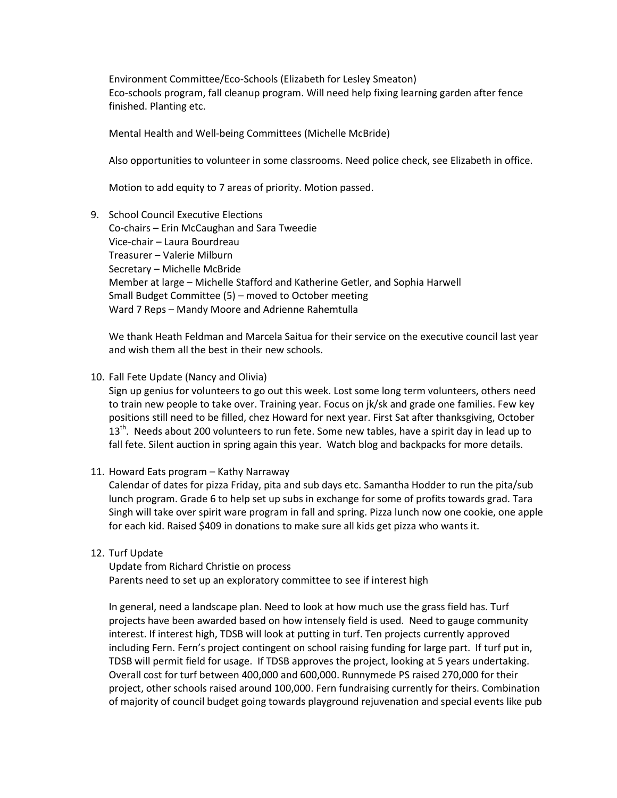Environment Committee/Eco-Schools (Elizabeth for Lesley Smeaton) Eco-schools program, fall cleanup program. Will need help fixing learning garden after fence finished. Planting etc.

Mental Health and Well-being Committees (Michelle McBride)

Also opportunities to volunteer in some classrooms. Need police check, see Elizabeth in office.

Motion to add equity to 7 areas of priority. Motion passed.

9. School Council Executive Elections Co-chairs – Erin McCaughan and Sara Tweedie Vice-chair – Laura Bourdreau Treasurer – Valerie Milburn Secretary – Michelle McBride Member at large – Michelle Stafford and Katherine Getler, and Sophia Harwell Small Budget Committee (5) – moved to October meeting Ward 7 Reps – Mandy Moore and Adrienne Rahemtulla

We thank Heath Feldman and Marcela Saitua for their service on the executive council last year and wish them all the best in their new schools.

10. Fall Fete Update (Nancy and Olivia)

Sign up genius for volunteers to go out this week. Lost some long term volunteers, others need to train new people to take over. Training year. Focus on jk/sk and grade one families. Few key positions still need to be filled, chez Howard for next year. First Sat after thanksgiving, October 13<sup>th</sup>. Needs about 200 volunteers to run fete. Some new tables, have a spirit day in lead up to fall fete. Silent auction in spring again this year. Watch blog and backpacks for more details.

11. Howard Eats program – Kathy Narraway

Calendar of dates for pizza Friday, pita and sub days etc. Samantha Hodder to run the pita/sub lunch program. Grade 6 to help set up subs in exchange for some of profits towards grad. Tara Singh will take over spirit ware program in fall and spring. Pizza lunch now one cookie, one apple for each kid. Raised \$409 in donations to make sure all kids get pizza who wants it.

12. Turf Update

Update from Richard Christie on process Parents need to set up an exploratory committee to see if interest high

In general, need a landscape plan. Need to look at how much use the grass field has. Turf projects have been awarded based on how intensely field is used. Need to gauge community interest. If interest high, TDSB will look at putting in turf. Ten projects currently approved including Fern. Fern's project contingent on school raising funding for large part. If turf put in, TDSB will permit field for usage. If TDSB approves the project, looking at 5 years undertaking. Overall cost for turf between 400,000 and 600,000. Runnymede PS raised 270,000 for their project, other schools raised around 100,000. Fern fundraising currently for theirs. Combination of majority of council budget going towards playground rejuvenation and special events like pub